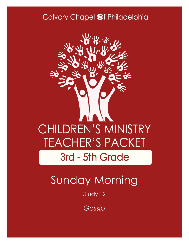## Calvary Chapel @f Philadelphia



# Sunday Morning

Study 12

*Gossip*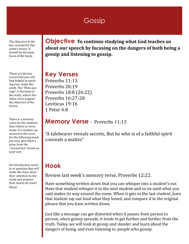## Gossip

The Objective is the key concept for this week's lesson. It should be the main focus of the study.

These are the key verses that you will find helpful in teaching your study this week. The "Main passage" is the basis of the study, where the other verse support the objective of the lesson.

There is a memory verse for the students that relates to every study. If a student can memorize the verse for the following week you may give them a prize from the "reward box" found on your cart.

An introductory activity or question that will settle the class, draw their attention to the study and prepare their hearts for God's Word.

**Objective To continue studying what God teaches us about our speech by focusing on the dangers of both being a gossip and listening to gossip.** 

## **Key Verses**

Proverbs 11:13 Proverbs 20:19 Proverbs 18:8 (26:22) Proverbs 16:27-28 Leviticus 19:16 1 Peter 4:8

### **Memory Verse** - Proverbs 11:13

"A talebearer reveals secrets, But he who is of a faithful spirit conceals a matter."

## **Hook**

Review last week's memory verse, Proverbs 12:22.

Have something written down that you can whisper into a student's ear. Have that student whisper it to the next student and so on until what you said makes its way around the room. When it gets to the last student, have that student say out loud what they heard, and compare it to the original phrase that you have written down.

Just like a message can get distorted when it passes from person to person, when gossip spreads, it tends to get further and further from the truth. Today, we will look at gossip and slander and learn about the dangers of being, and even listening to, people who gossip.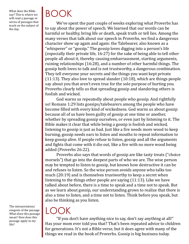What does the Bible say? This is where we will read a passage or series of passages that teach on the subject of the day.

# BOOK

We've spent the past couple of weeks exploring what Proverbs has to say about the power of speech. We learned that our words can be harmful or healthy, bring life or death, speak truth or tell lies. Among the many verses that talk about our speech in Proverbs, we find a dangerous character show up again and again: the Talebearer, also known as a "whisperer" or "gossip." The gossip loves digging into a person's life (especially their private life, 16:27) for the sake of being able to tell other people all about it, thereby causing embarrassment, starting arguments, ruining relationships (16:28), and a number of other harmful things. The gossip both loves to talk and is not trustworthy, a dangerous combination. They tell everyone your secrets and the things you want kept private (11:13). They also love to spread slander (10:18), which are things people say about you that aren't even true for the sole purpose of hurting you. Proverbs clearly tells us that spreading gossip and slandering others is foolish and wicked.

God warns us repeatedly about people who gossip. And rightfully so! Romans 1:29 lists gossips/talebearers among the people who have become filled with every kind of wickedness. God warns us about gossip because all of us have been guilty of gossip at one time or another, whether by spreading gossip ourselves, or even just by listening to it. The Bible makes it clear that while being a gossip is foolish and wicked, listening to gossip is just as bad. Just like a fire needs more wood to keep burning, gossip needs ears to listen and mouths to repeat information to keep gossip alive. If people refuse to listen, gossip and all the arguments and fights that come with it die out, like a fire with no more wood being added (Proverbs 26:22).

Proverbs also says that words of gossip are like tasty treats ("choice morsels") that go into the deepest parts of who we are. The wise person may be tempted to listen to gossip, but knows how destructive it can be and refuses to listen. So the wise person avoids anyone who talks too much (20:19) and is themselves trustworthy to keep a secret when listening to the things other people are saying (11:13). Like we have talked about before, there is a time to speak and a time not to speak. But as we learn about gossip, our understanding grows to realize that there is also a time to listen, and a time not to listen. Think before you speak, but also be thinking as you listen.

The interpretation/ exegesis of the passage. What does this passage mean? How does this passage apply to my life?

 $\mathsf{L}(\mathsf{C})\mathsf{C}(\mathsf{C})$ K

"If you don't have anything nice to say, don't say anything at all!" Has your mom ever told you that? That's been repeated advice to children for generations. It's not a Bible verse, but it does agree with many of the things we read in the book of Proverbs. Gossip is big business today.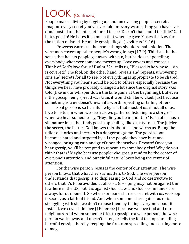# LOOK (Continued)

People make a living by digging up and uncovering people's secrets. Imagine every secret you've ever told or every wrong thing you have ever done posted on the internet for all to see. Doesn't that sound terrible? God hates gossip! He hates it so much that when he gave Moses the Law for the nation of Israel, He made gossip illegal (Leviticus 19:16).

Proverbs warns us that some things should remain hidden. The wise man covers up other people's wrongdoings (17:9). This isn't in the sense that he lets people get away with sin, but he doesn't go telling everybody whenever someone messes up. Love covers and conceals. Think of God's love for us! Psalm 32:1 tells us, "Blessed is he whose… sin is covered." The fool, on the other hand, reveals and repeats, uncovering sins and secrets for all to see. Not everything is appropriate to be shared. Not everything you hear should be told to others, especially because the things we hear have probably changed a lot since the original story was told (like in our whisper down the lane game at the beginning). But even if the gossip being spread was true, it would still be wicked. Just because something is true doesn't mean it's worth repeating or telling others.

So if gossip is so harmful, why is it that most of us, if not all of us, love to listen in when we see a crowd gathered listening to a story, or when we hear someone say, "Hey, did you hear about…?" Each of us has a sin nature in us that finds gossip appealing, like a tasty treat. The juicier the secret, the better! God knows this about us and warns us. Being the teller of stories and secrets is a dangerous game. The gossip soon becomes hated and targeted by all the people they have hurt and wronged, bringing ruin and grief upon themselves. Beware! Once you hear gossip, you'll be tempted to repeat it to somebody else! Why do you think that is? Maybe because people who gossip tend to be the center of everyone's attention, and our sinful nature loves being the center of attention.

For the wise person, Jesus is the center of our attention. The wise person knows that what they say matters to God. The wise person understands that gossip is so displeasing to God and so destructive to others that it's to be avoided at all cost. Gossiping may not be against the law here in the US, but it is against God's law, and God's commands are always for our benefit. So when someone shares a secret with us, we keep it secret, as a faithful friend. And when someone sins against us or is struggling with sin, we don't expose them by telling everyone about it. Instead, we cover it in love (I Peter 4:8) because we love God and our neighbors. And when someone tries to gossip to a wise person, the wise person walks away and doesn't listen, or tells the fool to stop spreading harmful gossip, thereby keeping the fire from spreading and causing more damage.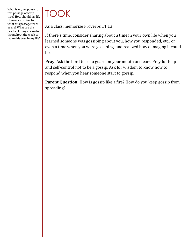#### What is my response to this passage of Scripture? How should my life change according to what this passage teaches me? What are the practical things I can do throughout the week to make this true in my life?

# TOOK

As a class, memorize Proverbs 11:13.

If there's time, consider sharing about a time in your own life when you learned someone was gossiping about you, how you responded, etc., or even a time when you were gossiping, and realized how damaging it could be.

Pray: Ask the Lord to set a guard on your mouth and ears. Pray for help and self-control not to be a gossip. Ask for wisdom to know how to respond when you hear someone start to gossip.

**Parent Question:** How is gossip like a fire? How do you keep gossip from spreading?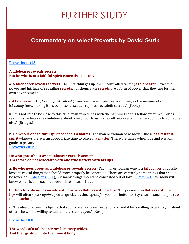# FURTHER STUDY

## **Commentary on select Proverbs by David Guzik**

### **[Proverbs 11:13](https://www.blueletterbible.org/kjv/proverbs/11/13/s_639013)**

**A talebearer reveals secrets, But he who is of a faithful spirit conceals a matter.**

a. **A talebearer reveals secrets**: The unfaithful gossip, the uncontrolled talker (**a talebearer**) loves the power and intrigue of revealing **secrets**. For them, such **secrets** are a form of power that they use for their own advancement.

i. **A talebearer**: "Or, *he that goeth about* (from one place or person to another, as the manner of such is) *telling tales*, making it his business to scatter reports, revealeth secrets." (Poole)

ii. "It is not safe to be close to this cruel man who trifles with the happiness of his fellow creatures. For as readily as he betrays a confidence about a neighbor to us, so he will betray a confidence about us to someone else." (Bridges)

**b. He who is of a faithful spirit conceals a matter**: The man or woman of wisdom—those **of a faithful spirit**—knows there is an appropriate time to conceal **a matter**. There are times when love and wisdom guide to privacy. **[Proverbs 20:19](https://www.blueletterbible.org/kjv/proverbs/20/19/s_648019)**

**He who goes about** *as* **a talebearer reveals secrets; Therefore do not associate with one who flatters with his lips.**

a. **He who goes about as a talebearer reveals secrets**: The man or woman who is a **talebearer** or gossip loves to reveal things that should more properly be concealed. There are certainly some things that should be revealed ([Ephesians 5:11\)](https://www.blueletterbible.org/kjv/ephesians/5/11/s_1102011), but many things should be concealed out of love ([1 Peter 4:8\).](https://www.blueletterbible.org/kjv/1peter/4/8/s_1155008) Wisdom will know which is approach is appropriate in each situation.

b. **Therefore do not associate with one who flatters with his lips**: The person who **flatters with his lips** will often speak *against* you as quickly as they speak *for* you. It is better to stay clear of such people (**do not associate**).

i. "The idea of 'opens his lips' is that such a one is always ready to talk; and if he is willing to talk to you about others, he will be willing to talk to others about you." (Ross)

### **[Proverbs 18:8](https://www.blueletterbible.org/kjv/proverbs/18/8/s_646008)**

**The words of a talebearer** *are* **like tasty trifles, And they go down into the inmost body.**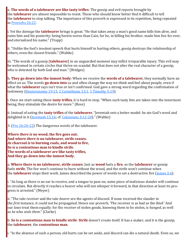a. **The words of a talebearer are like tasty trifles**: The gossip and evil reports brought by the **talebearer** are almost impossible to resist. Those who should know better find it difficult to tell the **talebearer** to stop talking. The importance of this proverb is expressed in its repetition, being repeated in [Proverbs 26:22.](https://www.blueletterbible.org/kjv/proverbs/26/22/s_654022)

i. Yet the *damage* the **talebearer** brings is great. "He that takes away a man's good name kills him alive, and ruins him and his posterity; being herein worse than Cain, for he, in killing his brother, made him live for ever, and eternalised his name." (Trapp)

ii. "Unlike the fool's insolent speech that hurts himself in hurting others, gossip destroys the relationship of others, even the closest friends." (Waltke)

iii. "The words of a gossip [**talebearer**] in an unguarded moment may inflict irreparable injury. This evil may be welcomed in certain circles that thrive on scandal. But that does not alter the real character of a gossip, who is detested by both God and man." (Bridges)

b. **They go down into the inmost body**: When we receive the **words of a talebearer**, they normally have an effect on us. The words **go down into** us and often change the way we think and feel about people, even if what the **talebearer** says isn't true or isn't confirmed. God gave a strong word regarding the confirmation of testimony [\(Deuteronomy 19:15,](https://www.blueletterbible.org/kjv/deuteronomy/19/15/s_172015) [2 Corinthians 13:1,](https://www.blueletterbible.org/kjv/2corinthians/13/1/s_1091001) [1 Timothy 5:19\).](https://www.blueletterbible.org/kjv/1timothy/5/19/s_1124019)

i. Once we start eating these **tasty trifles**, it is hard to stop. "When such tasty bits are taken into the innermost being, they stimulate the desire for more." (Ross)

ii. Instead of eating the **tasty trifles** of the **talebearer**, "Jeremiah sets a better model: he ate God's word and delighted in it ([Jeremiah 15:16;](https://www.blueletterbible.org/kjv/jeremiah/15/16/s_760016) cf. [Colossians 3:12](https://www.blueletterbible.org/kjv/colossians/3/12-20/s_1110012)-20)." (Waltke)

3. ([Pro 26:20](https://www.blueletterbible.org/kjv/proverbs/26/20-22/s_654020)-22) The dangerous words of the talebearer.

**Where** *there is* **no wood, the fire goes out; And where** *there is* **no talebearer, strife ceases.** *As* **charcoal** *is* **to burning coals, and wood to fire, So** *is* **a contentious man to kindle strife. The words of a talebearer** *are* **like tasty trifles, And they go down into the inmost body.**

a. **Where there is no talebearer, strife ceases**: Just as **wood** fuels a **fire**, so the **talebearer** or gossip fuels **strife**. The fire won't continue to burn without the wood, and the strife won't continue when the **talebearer** stops their work. James described the power of words to set a destructive fire ([James 3:6\)](https://www.blueletterbible.org/kjv/james/3/6/s_1149006).

i. "As long as there is an ear to receive, and a tongue to pass on, some piece of malicious slander will continue to circulate. But directly it reaches a hearer who will not whisper it forward, in that direction at least its progress is arrested." (Meyer)

ii. "The tale-*receiver* and the tale-*bearer* are the agents of discord. If none received the slander in the *first* instance, it could not be propagated. Hence our proverb, 'The receiver is as bad as the thief.' And our *laws* treat them equally; for the *receiver* of stolen goods, knowing them to be stolen, is *hanged*, as well as *he* who *stole them*." (Clarke)

b. **So is a contentious man to kindle strife**: **Strife** doesn't create itself. It has a maker, and it is the gossip, the **talebearer**, the **contentious man**.

i. "In the absence of such a person, old hurts can be set aside, and discord can die a natural death. Even so, we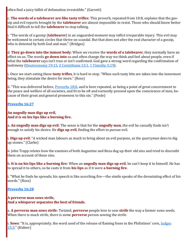often find a juicy tidbit of defamation irresistible." (Garrett)

c. **The words of a talebearer are like tasty trifles**: This proverb, repeated from 18:8, explains that the gossip and evil reports brought by the **talebearer** are almost impossible to resist. Those who should know better find it difficult to tell the **talebearer** to stop talking.

i. "The words of a gossip [**talebearer**] in an unguarded moment may inflict irreparable injury. This evil may be welcomed in certain circles that thrive on scandal. But that does not alter the real character of a gossip, who is detested by both God and man." (Bridges)

d. **They go down into the inmost body**: When we receive the **words of a talebearer**, they normally have an effect on us. The words **go down into** us and often change the way we think and feel about people, even if what the **talebearer** says isn't true or isn't confirmed. God gave a strong word regarding the confirmation of testimony [\(Deuteronomy 19:15,](https://www.blueletterbible.org/kjv/deuteronomy/19/15/s_172015) [2 Corinthians 13:1,](https://www.blueletterbible.org/kjv/2corinthians/13/1/s_1091001) [1 Timothy 5:19\).](https://www.blueletterbible.org/kjv/1timothy/5/19/s_1124019)

i. Once we start eating these **tasty trifles**, it is hard to stop. "When such tasty bits are taken into the innermost being, they stimulate the desire for more." (Ross)

ii. "This was delivered before, *Proverbs 18:8*, and is here repeated, as being a point of great concernment to the peace and welfare of all societies, and fit to be oft and earnestly pressed upon the consciences of men, because of their great and general proneness to this sin." (Poole)

### **[Proverbs 16:27](https://www.blueletterbible.org/kjv/proverbs/16/27/s_644027)**

### **An ungodly man digs up evil, And** *it is* **on his lips like a burning fire.**

a. **An ungodly man digs up evil**: The sense is that for the **ungodly man**, the evil he casually finds isn't enough to satisfy his desire. He **digs up evil**, finding the effort to pursue evil.

i. **Digs up evil**: "A wicked man labours as much to bring about an evil purpose, as the *quarryman* does to dig up stones." (Clarke)

ii. John Trapp relates how the enemies of both Augustine and Beza dug up their old sins and tried to discredit them on account of those sins.

b. **It is on his lips like a burning fire**: When an **ungodly man digs up evil**, he can't keep it to himself. He has to spread it to others, so he casts it from **his lips** as if it were **a burning fire**.

i. "What he finds he spreads; his speech is like scorching fire—the simile speaks of the devastating effect of his words." (Ross)

**[Proverbs 16:28](https://www.blueletterbible.org/kjv/proverbs/16/28/s_644028)**

**A perverse man sows strife, And a whisperer separates the best of friends.**

a. **A perverse man sows strife**: Twisted, **perverse** people love to sow **strife** the way a farmer sows seeds. When there is much strife, there is some **perverse** person sowing the strife.

i. **Sows**: "It is, appropriately, the word used of the release of flaming foxes in the Philistines' corn, [Judges](https://www.blueletterbible.org/kjv/judges/15/5/s_226005)  [15:5."](https://www.blueletterbible.org/kjv/judges/15/5/s_226005) (Kidner)